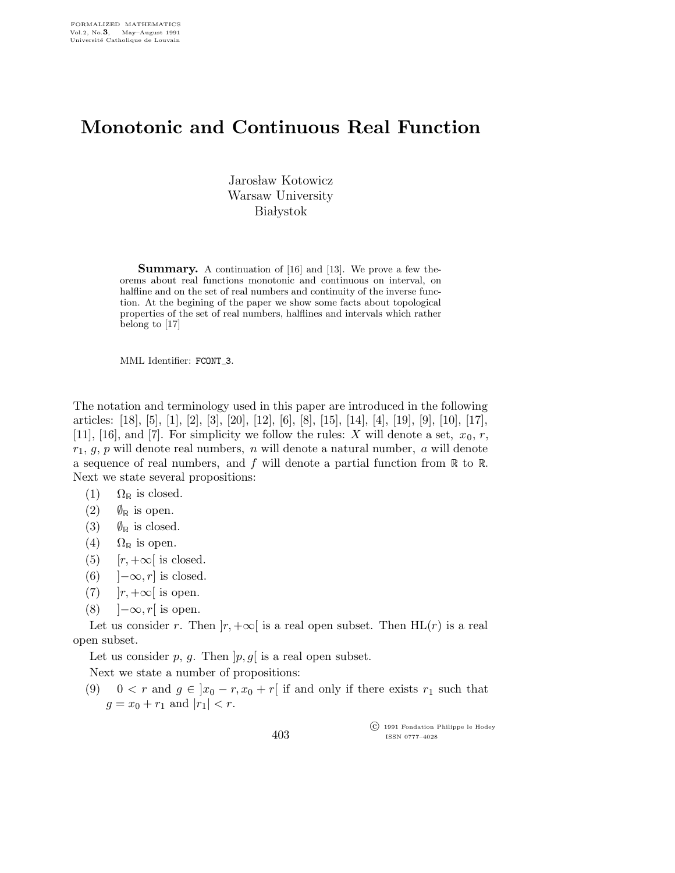## Monotonic and Continuous Real Function

Jarosław Kotowicz Warsaw University **Białystok** 

**Summary.** A continuation of [16] and [13]. We prove a few theorems about real functions monotonic and continuous on interval, on halfline and on the set of real numbers and continuity of the inverse function. At the begining of the paper we show some facts about topological properties of the set of real numbers, halflines and intervals which rather belong to [17]

MML Identifier: FCONT\_3.

The notation and terminology used in this paper are introduced in the following articles: [18], [5], [1], [2], [3], [20], [12], [6], [8], [15], [14], [4], [19], [9], [10], [17], [11], [16], and [7]. For simplicity we follow the rules: X will denote a set,  $x_0, r$ ,  $r_1, g, p$  will denote real numbers, n will denote a natural number, a will denote a sequence of real numbers, and f will denote a partial function from  $\mathbb R$  to  $\mathbb R$ . Next we state several propositions:

- (1)  $\Omega_{\mathbb{R}}$  is closed.
- (2)  $\emptyset_{\mathbb{R}}$  is open.
- (3)  $\emptyset_{\mathbb{R}}$  is closed.
- (4)  $\Omega_{\mathbb{R}}$  is open.
- (5)  $[r, +\infty]$  is closed.
- (6)  $]-\infty,r]$  is closed.
- (7)  $|r, +\infty|$  is open.
- (8)  $\vert -\infty, r \vert$  is open.

Let us consider r. Then  $|r, +\infty|$  is a real open subset. Then HL(r) is a real open subset.

Let us consider  $p, g$ . Then  $[p, g]$  is a real open subset.

Next we state a number of propositions:

(9) 0 < r and  $g \in ]x_0 - r, x_0 + r[$  if and only if there exists  $r_1$  such that  $g = x_0 + r_1$  and  $|r_1| < r$ .

 c 1991 Fondation Philippe le Hodey ISSN 0777–4028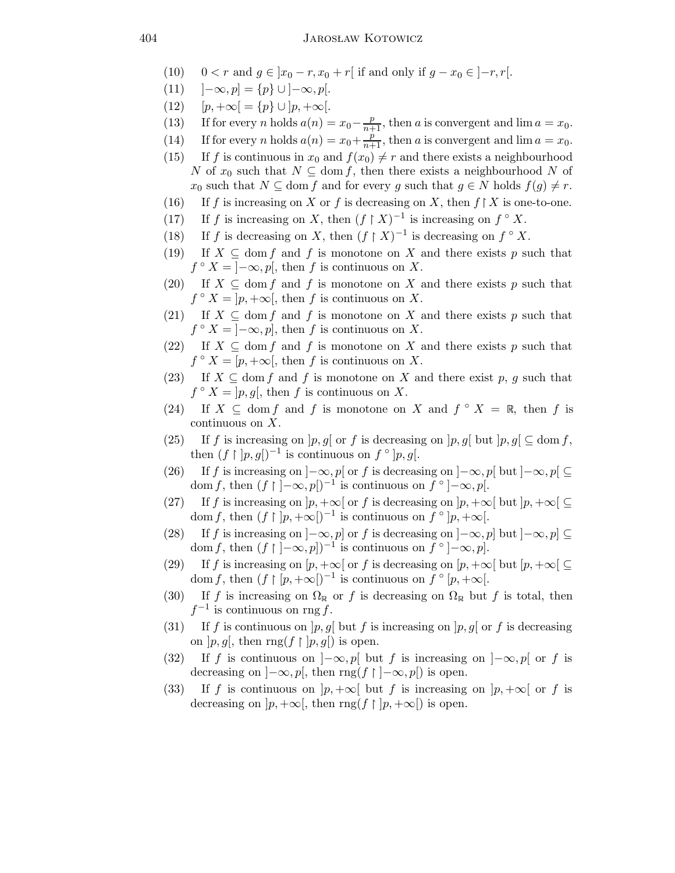- (10)  $0 < r$  and  $g \in [x_0 r, x_0 + r]$  if and only if  $g x_0 \in [-r, r]$ .
- (11)  $]-\infty, p] = \{p\} \cup ]-\infty, p[.$
- (12)  $[p, +\infty] = \{p\} \cup [p, +\infty]$ .
- (13) If for every n holds  $a(n) = x_0 \frac{p}{n+1}$ , then a is convergent and lim  $a = x_0$ .
- (14) If for every *n* holds  $a(n) = x_0 + \frac{p}{n+1}$ , then *a* is convergent and  $\lim a = x_0$ .
- (15) If f is continuous in  $x_0$  and  $f(x_0) \neq r$  and there exists a neighbourhood N of  $x_0$  such that  $N \subseteq \text{dom } f$ , then there exists a neighbourhood N of  $x_0$  such that  $N \subseteq$  dom f and for every g such that  $g \in N$  holds  $f(g) \neq r$ .
- (16) If f is increasing on X or f is decreasing on X, then  $f \upharpoonright X$  is one-to-one.
- (17) If f is increasing on X, then  $(f \upharpoonright X)^{-1}$  is increasing on  $f \circ X$ .
- (18) If f is decreasing on X, then  $(f \upharpoonright X)^{-1}$  is decreasing on  $f \circ X$ .
- (19) If  $X \subseteq \text{dom } f$  and f is monotone on X and there exists p such that  $f \circ X = \overline{]-\infty, p[}$ , then f is continuous on X.
- (20) If  $X \subseteq \text{dom } f$  and f is monotone on X and there exists p such that  $f \circ X = \overline{\mathcal{F}} p, +\infty$ , then f is continuous on X.
- (21) If  $X \subseteq \text{dom } f$  and f is monotone on X and there exists p such that  $f \circ X = \overline{]-\infty, p}$ , then f is continuous on X.
- (22) If  $X \subseteq \text{dom } f$  and f is monotone on X and there exists p such that  $f \circ X = [p, +\infty[$ , then f is continuous on X.
- (23) If  $X \subseteq$  dom f and f is monotone on X and there exist p, q such that  $f \circ X = \overline{p}, g$ , then f is continuous on X.
- (24) If  $X \subseteq \text{dom } f$  and f is monotone on X and  $f \circ X = \mathbb{R}$ , then f is continuous on X.
- (25) If f is increasing on  $[p,g]$  or f is decreasing on  $[p,g]$  but  $[p,g] \subseteq \text{dom } f$ , then  $(f \upharpoonright |p,g|)^{-1}$  is continuous on  $f \circ [p,g].$
- (26) If f is increasing on  $]-\infty,p[$  or f is decreasing on  $]-\infty,p[$  but  $]-\infty,p[$ dom f, then  $(f \mid -\infty, p \mid)^{-1}$  is continuous on  $\tilde{f} \circ \mid -\infty, p \mid$ .
- (27) If f is increasing on  $]p, +\infty[$  or f is decreasing on  $]p, +\infty[$  but  $]p, +\infty[$ dom f, then  $(f | p, +\infty|)^{-1}$  is continuous on  $\tilde{f} \circ p, +\infty$ .
- (28) If f is increasing on  $[-\infty, p]$  or f is decreasing on  $[-\infty, p]$  but  $[-\infty, p] \subseteq$ dom f, then  $(f \mid ]-\infty, p]$  is continuous on  $\tilde{f} \circ ]-\infty, p]$ .
- (29) If f is increasing on  $[p, +\infty[$  or f is decreasing on  $[p, +\infty[$  but  $[p, +\infty[$ dom f, then  $(f \mid p, +\infty)$ <sup>-1</sup> is continuous on  $\tilde{f} \circ [p, +\infty)$ .
- (30) If f is increasing on  $\Omega_{\mathbb{R}}$  or f is decreasing on  $\Omega_{\mathbb{R}}$  but f is total, then  $f^{-1}$  is continuous on rng f.
- (31) If f is continuous on  $[p,g]$  but f is increasing on  $[p,g]$  or f is decreasing on  $[p, g]$ , then rng $(f \mid p, g]$  is open.
- (32) If f is continuous on  $]-\infty,p[$  but f is increasing on  $]-\infty,p[$  or f is decreasing on  $]-\infty, p[$ , then  $\text{rng}(f \restriction ]-\infty, p[)$  is open.
- (33) If f is continuous on  $|p, +\infty|$  but f is increasing on  $|p, +\infty|$  or f is decreasing on  $[p, +\infty[,$  then  $\text{rng}(f \restriction [p, +\infty[,$  is open.